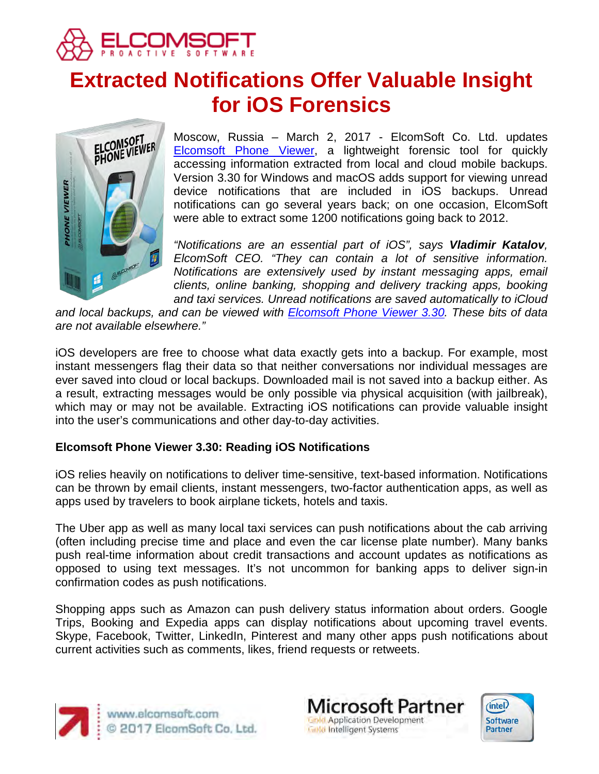

# **Extracted Notifications Offer Valuable Insight for iOS Forensics**



Moscow, Russia – March 2, 2017 - ElcomSoft Co. Ltd. updates [Elcomsoft Phone Viewer,](https://www.elcomsoft.com/epv.html) a lightweight forensic tool for quickly accessing information extracted from local and cloud mobile backups. Version 3.30 for Windows and macOS adds support for viewing unread device notifications that are included in iOS backups. Unread notifications can go several years back; on one occasion, ElcomSoft were able to extract some 1200 notifications going back to 2012.

*"Notifications are an essential part of iOS", says Vladimir Katalov, ElcomSoft CEO. "They can contain a lot of sensitive information. Notifications are extensively used by instant messaging apps, email clients, online banking, shopping and delivery tracking apps, booking and taxi services. Unread notifications are saved automatically to iCloud* 

*and local backups, and can be viewed with [Elcomsoft Phone Viewer 3.30.](https://www.elcomsoft.com/epv.html) These bits of data are not available elsewhere."*

iOS developers are free to choose what data exactly gets into a backup. For example, most instant messengers flag their data so that neither conversations nor individual messages are ever saved into cloud or local backups. Downloaded mail is not saved into a backup either. As a result, extracting messages would be only possible via physical acquisition (with jailbreak), which may or may not be available. Extracting iOS notifications can provide valuable insight into the user's communications and other day-to-day activities.

## **Elcomsoft Phone Viewer 3.30: Reading iOS Notifications**

iOS relies heavily on notifications to deliver time-sensitive, text-based information. Notifications can be thrown by email clients, instant messengers, two-factor authentication apps, as well as apps used by travelers to book airplane tickets, hotels and taxis.

The Uber app as well as many local taxi services can push notifications about the cab arriving (often including precise time and place and even the car license plate number). Many banks push real-time information about credit transactions and account updates as notifications as opposed to using text messages. It's not uncommon for banking apps to deliver sign-in confirmation codes as push notifications.

Shopping apps such as Amazon can push delivery status information about orders. Google Trips, Booking and Expedia apps can display notifications about upcoming travel events. Skype, Facebook, Twitter, LinkedIn, Pinterest and many other apps push notifications about current activities such as comments, likes, friend requests or retweets.